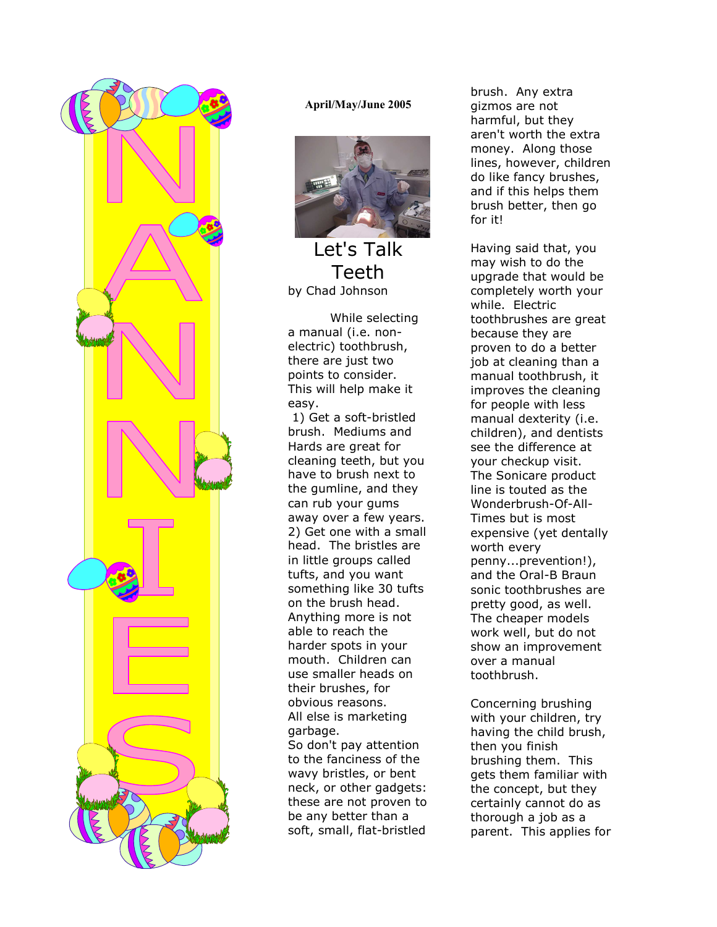

#### April/May/June 2005



Let's Talk Teeth by Chad Johnson

While selecting a manual (i.e. nonelectric) toothbrush, there are just two points to consider. This will help make it easy.

 1) Get a soft-bristled brush. Mediums and Hards are great for cleaning teeth, but you have to brush next to the gumline, and they can rub your gums away over a few years. 2) Get one with a small head. The bristles are in little groups called tufts, and you want something like 30 tufts on the brush head. Anything more is not able to reach the harder spots in your mouth. Children can use smaller heads on their brushes, for obvious reasons. All else is marketing garbage. So don't pay attention to the fanciness of the wavy bristles, or bent neck, or other gadgets: these are not proven to be any better than a soft, small, flat-bristled

brush. Any extra gizmos are not harmful, but they aren't worth the extra money. Along those lines, however, children do like fancy brushes, and if this helps them brush better, then go for it!

Having said that, you may wish to do the upgrade that would be completely worth your while. Electric toothbrushes are great because they are proven to do a better job at cleaning than a manual toothbrush, it improves the cleaning for people with less manual dexterity (i.e. children), and dentists see the difference at your checkup visit. The Sonicare product line is touted as the Wonderbrush-Of-All-Times but is most expensive (yet dentally worth every penny...prevention!), and the Oral-B Braun sonic toothbrushes are pretty good, as well. The cheaper models work well, but do not show an improvement over a manual toothbrush.

Concerning brushing with your children, try having the child brush, then you finish brushing them. This gets them familiar with the concept, but they certainly cannot do as thorough a job as a parent. This applies for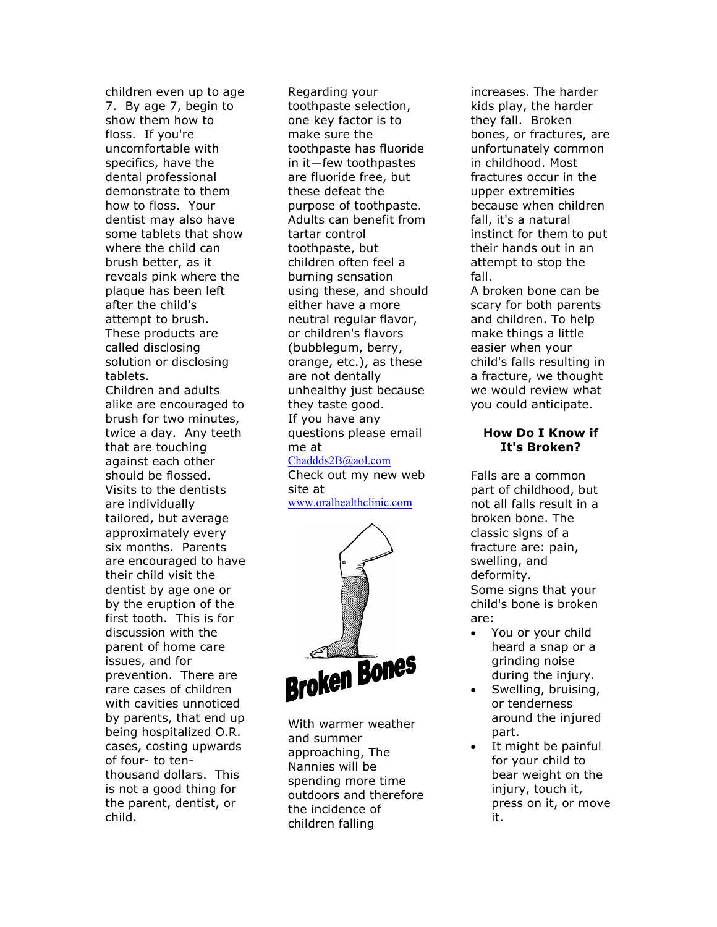children even up to age 7. By age 7, begin to show them how to floss. If you're uncomfortable with specifics, have the dental professional demonstrate to them how to floss. Your dentist may also have some tablets that show where the child can brush better, as it reveals pink where the plaque has been left after the child's attempt to brush. These products are called disclosing solution or disclosing tablets. Children and adults alike are encouraged to brush for two minutes, twice a day. Any teeth that are touching against each other should be flossed. Visits to the dentists are individually tailored, but average approximately every six months. Parents are encouraged to have their child visit the dentist by age one or by the eruption of the first tooth. This is for discussion with the parent of home care issues, and for prevention. There are rare cases of children with cavities unnoticed by parents, that end up being hospitalized O.R. cases, costing upwards of four- to tenthousand dollars. This is not a good thing for the parent, dentist, or

child.

Regarding your toothpaste selection, one key factor is to make sure the toothpaste has fluoride in it—few toothpastes are fluoride free, but these defeat the purpose of toothpaste. Adults can benefit from tartar control toothpaste, but children often feel a burning sensation using these, and should either have a more neutral regular flavor, or children's flavors (bubblegum, berry, orange, etc.), as these are not dentally unhealthy just because they taste good. If you have any questions please email me at Chaddds2B@aol.com

Check out my new web site at www.oralhealthclinic.com



With warmer weather and summer approaching, The Nannies will be spending more time outdoors and therefore the incidence of children falling

increases. The harder kids play, the harder they fall. Broken bones, or fractures, are unfortunately common in childhood. Most fractures occur in the upper extremities because when children fall, it's a natural instinct for them to put their hands out in an attempt to stop the fall.

A broken bone can be scary for both parents and children. To help make things a little easier when your child's falls resulting in a fracture, we thought we would review what you could anticipate.

#### How Do I Know if It's Broken?

Falls are a common part of childhood, but not all falls result in a broken bone. The classic signs of a fracture are: pain, swelling, and deformity. Some signs that your child's bone is broken are:

- You or your child heard a snap or a grinding noise during the injury.
- Swelling, bruising, or tenderness around the injured part.
- It might be painful for your child to bear weight on the injury, touch it, press on it, or move it.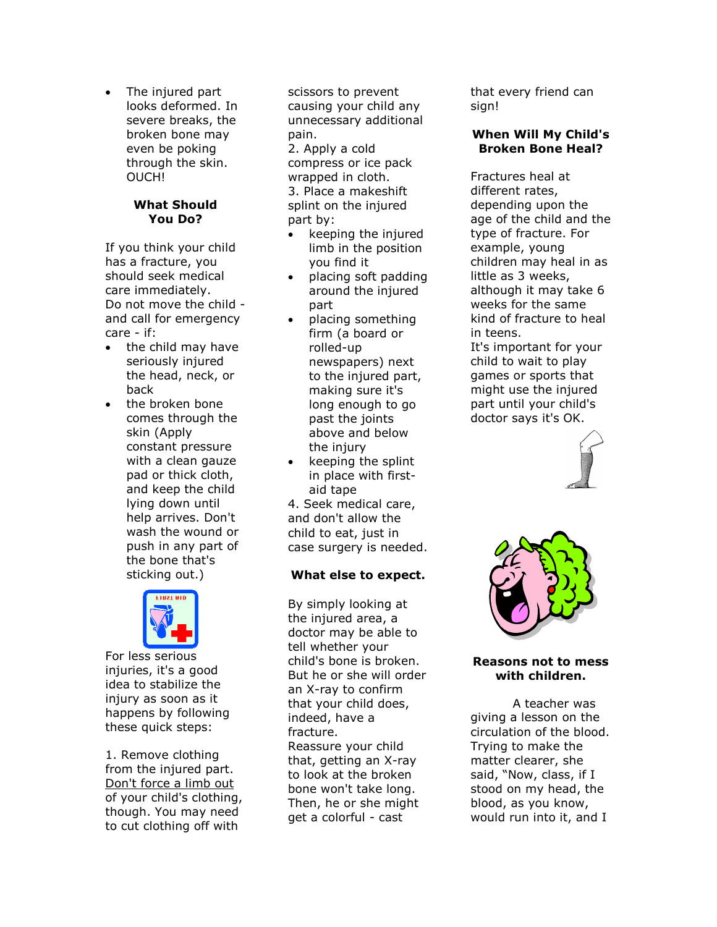• The injured part looks deformed. In severe breaks, the broken bone may even be poking through the skin. OUCH!

#### What Should You Do?

If you think your child has a fracture, you should seek medical care immediately. Do not move the child and call for emergency care - if:

- the child may have seriously injured the head, neck, or back
- the broken bone comes through the skin (Apply constant pressure with a clean gauze pad or thick cloth, and keep the child lying down until help arrives. Don't wash the wound or push in any part of the bone that's sticking out.)



For less serious injuries, it's a good idea to stabilize the injury as soon as it happens by following these quick steps:

1. Remove clothing from the injured part. Don't force a limb out of your child's clothing, though. You may need to cut clothing off with

scissors to prevent causing your child any unnecessary additional pain. 2. Apply a cold compress or ice pack wrapped in cloth. 3. Place a makeshift splint on the injured part by:

- keeping the injured limb in the position you find it
- placing soft padding around the injured part
- placing something firm (a board or rolled-up newspapers) next to the injured part, making sure it's long enough to go past the joints above and below the injury
- keeping the splint in place with firstaid tape

4. Seek medical care, and don't allow the child to eat, just in case surgery is needed.

## What else to expect.

By simply looking at the injured area, a doctor may be able to tell whether your child's bone is broken. But he or she will order an X-ray to confirm that your child does, indeed, have a fracture. Reassure your child that, getting an X-ray to look at the broken bone won't take long. Then, he or she might get a colorful - cast

that every friend can sign!

#### When Will My Child's Broken Bone Heal?

Fractures heal at different rates, depending upon the age of the child and the type of fracture. For example, young children may heal in as little as 3 weeks, although it may take 6 weeks for the same kind of fracture to heal in teens. It's important for your child to wait to play games or sports that might use the injured part until your child's doctor says it's OK.





#### Reasons not to mess with children.

A teacher was giving a lesson on the circulation of the blood. Trying to make the matter clearer, she said, "Now, class, if I stood on my head, the blood, as you know, would run into it, and I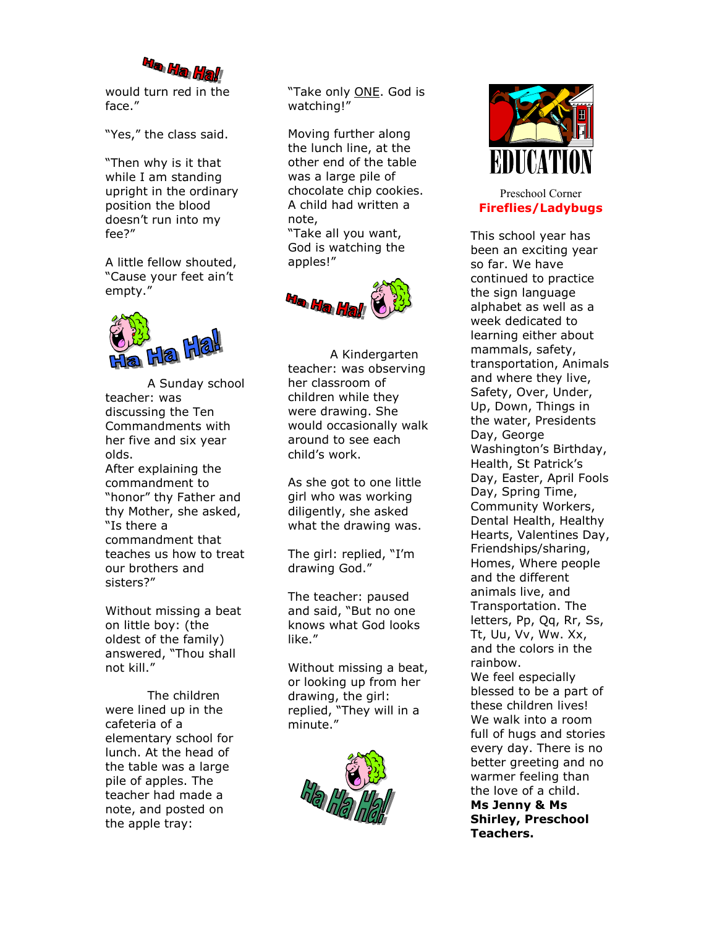

would turn red in the face."

"Yes," the class said.

"Then why is it that while I am standing upright in the ordinary position the blood doesn't run into my fee?"

A little fellow shouted, "Cause your feet ain't empty."



A Sunday school teacher: was discussing the Ten Commandments with her five and six year olds. After explaining the

commandment to "honor" thy Father and thy Mother, she asked, "Is there a commandment that teaches us how to treat our brothers and sisters?"

Without missing a beat on little boy: (the oldest of the family) answered, "Thou shall not kill."

 The children were lined up in the cafeteria of a elementary school for lunch. At the head of the table was a large pile of apples. The teacher had made a note, and posted on the apple tray:

"Take only ONE. God is watching!"

Moving further along the lunch line, at the other end of the table was a large pile of chocolate chip cookies. A child had written a note, "Take all you want,

God is watching the apples!"



A Kindergarten teacher: was observing her classroom of children while they were drawing. She would occasionally walk around to see each child's work.

As she got to one little girl who was working diligently, she asked what the drawing was.

The girl: replied, "I'm drawing God."

The teacher: paused and said, "But no one knows what God looks like."

Without missing a beat, or looking up from her drawing, the girl: replied, "They will in a minute."





Preschool Corner Fireflies/Ladybugs

This school year has been an exciting year so far. We have continued to practice the sign language alphabet as well as a week dedicated to learning either about mammals, safety, transportation, Animals and where they live, Safety, Over, Under, Up, Down, Things in the water, Presidents Day, George Washington's Birthday, Health, St Patrick's Day, Easter, April Fools Day, Spring Time, Community Workers, Dental Health, Healthy Hearts, Valentines Day, Friendships/sharing, Homes, Where people and the different animals live, and Transportation. The letters, Pp, Qq, Rr, Ss, Tt, Uu, Vv, Ww. Xx, and the colors in the rainbow. We feel especially blessed to be a part of these children lives! We walk into a room full of hugs and stories every day. There is no better greeting and no warmer feeling than the love of a child. Ms Jenny & Ms Shirley, Preschool Teachers.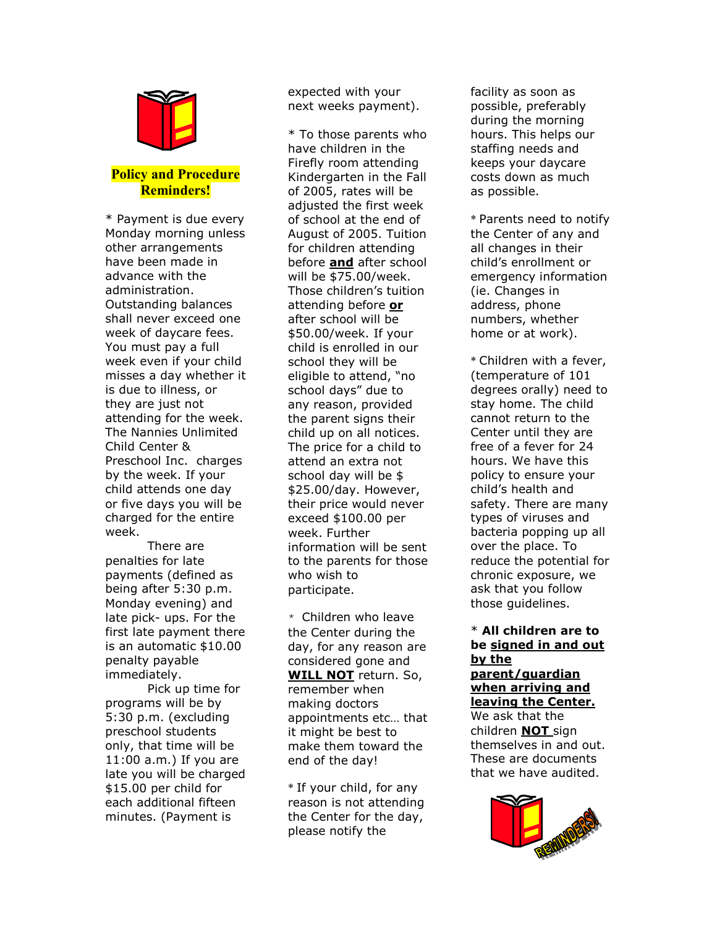

## Policy and Procedure Reminders!

\* Payment is due every Monday morning unless other arrangements have been made in advance with the administration. Outstanding balances shall never exceed one week of daycare fees. You must pay a full week even if your child misses a day whether it is due to illness, or they are just not attending for the week. The Nannies Unlimited Child Center & Preschool Inc. charges by the week. If your child attends one day or five days you will be charged for the entire week.

There are penalties for late payments (defined as being after 5:30 p.m. Monday evening) and late pick- ups. For the first late payment there is an automatic \$10.00 penalty payable immediately.

 Pick up time for programs will be by 5:30 p.m. (excluding preschool students only, that time will be 11:00 a.m.) If you are late you will be charged \$15.00 per child for each additional fifteen minutes. (Payment is

expected with your next weeks payment).

\* To those parents who have children in the Firefly room attending Kindergarten in the Fall of 2005, rates will be adjusted the first week of school at the end of August of 2005. Tuition for children attending before and after school will be \$75.00/week. Those children's tuition attending before or after school will be \$50.00/week. If your child is enrolled in our school they will be eligible to attend, "no school days" due to any reason, provided the parent signs their child up on all notices. The price for a child to attend an extra not school day will be \$ \$25.00/day. However, their price would never exceed \$100.00 per week. Further information will be sent to the parents for those who wish to participate.

 $*$  Children who leave the Center during the day, for any reason are considered gone and WILL NOT return. So, remember when making doctors appointments etc… that it might be best to make them toward the end of the day!

\* If your child, for any reason is not attending the Center for the day, please notify the

facility as soon as possible, preferably during the morning hours. This helps our staffing needs and keeps your daycare costs down as much as possible.

\* Parents need to notify the Center of any and all changes in their child's enrollment or emergency information (ie. Changes in address, phone numbers, whether home or at work).

\* Children with a fever, (temperature of 101 degrees orally) need to stay home. The child cannot return to the Center until they are free of a fever for 24 hours. We have this policy to ensure your child's health and safety. There are many types of viruses and bacteria popping up all over the place. To reduce the potential for chronic exposure, we ask that you follow those guidelines.

#### \* All children are to be signed in and out by the parent/guardian when arriving and

leaving the Center. We ask that the children NOT sign themselves in and out. These are documents that we have audited.

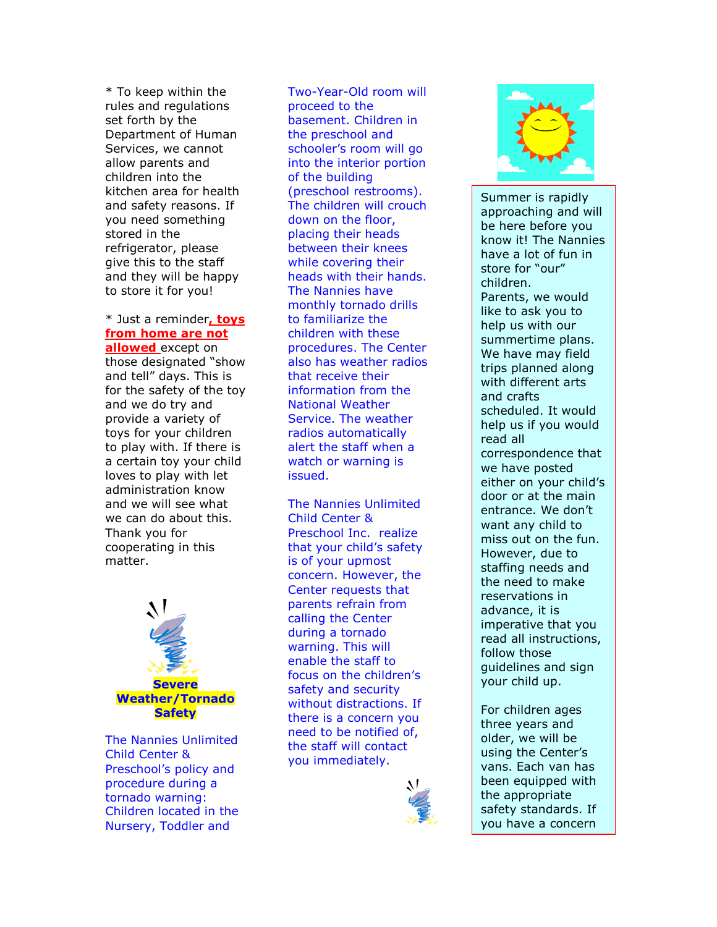\* To keep within the rules and regulations set forth by the Department of Human Services, we cannot allow parents and children into the kitchen area for health and safety reasons. If you need something stored in the refrigerator, please give this to the staff and they will be happy to store it for you!

# \* Just a reminder, toys from home are not

allowed except on those designated "show and tell" days. This is for the safety of the toy and we do try and provide a variety of toys for your children to play with. If there is a certain toy your child loves to play with let administration know and we will see what we can do about this. Thank you for cooperating in this matter.



The Nannies Unlimited Child Center & Preschool's policy and procedure during a tornado warning: Children located in the Nursery, Toddler and

Two-Year-Old room will proceed to the basement. Children in the preschool and schooler's room will go into the interior portion of the building (preschool restrooms). The children will crouch down on the floor, placing their heads between their knees while covering their heads with their hands. The Nannies have monthly tornado drills to familiarize the children with these procedures. The Center also has weather radios that receive their information from the National Weather Service. The weather radios automatically alert the staff when a watch or warning is issued.

The Nannies Unlimited Child Center & Preschool Inc. realize that your child's safety is of your upmost concern. However, the Center requests that parents refrain from calling the Center during a tornado warning. This will enable the staff to focus on the children's safety and security without distractions. If there is a concern you need to be notified of, the staff will contact you immediately.





Summer is rapidly approaching and will be here before you know it! The Nannies have a lot of fun in store for "our" children. Parents, we would like to ask you to help us with our summertime plans. We have may field trips planned along with different arts and crafts scheduled. It would help us if you would read all correspondence that we have posted either on your child's door or at the main entrance. We don't want any child to miss out on the fun. However, due to staffing needs and the need to make reservations in advance, it is imperative that you read all instructions, follow those guidelines and sign your child up.

For children ages three years and older, we will be using the Center's vans. Each van has been equipped with the appropriate safety standards. If you have a concern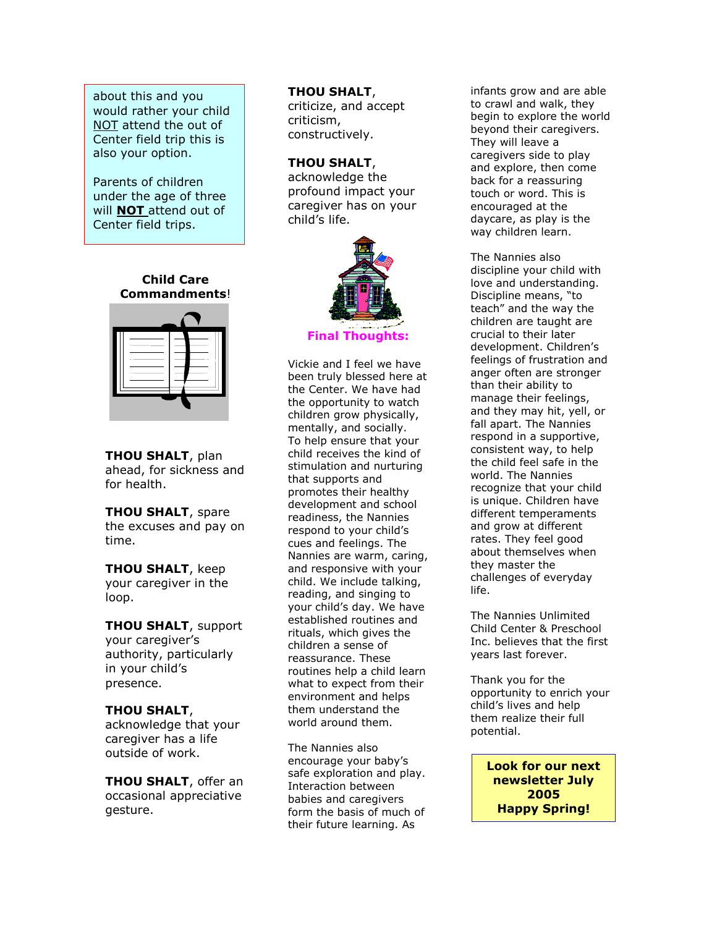about this and you would rather your child NOT attend the out of Center field trip this is also your option.

Parents of children under the age of three will **NOT** attend out of Center field trips.

#### Child Care Commandments!



**THOU SHALT, plan** ahead, for sickness and for health.

**THOU SHALT, spare** the excuses and pay on time.

THOU SHALT, keep your caregiver in the loop.

**THOU SHALT, support** your caregiver's authority, particularly in your child's presence.

#### THOU SHALT,

acknowledge that your caregiver has a life outside of work.

THOU SHALT, offer an occasional appreciative gesture.

#### THOU SHALT,

criticize, and accept criticism, constructively.

#### THOU SHALT,

acknowledge the profound impact your caregiver has on your child's life.



#### **Final Though**

Vickie and I feel we have been truly blessed here at the Center. We have had the opportunity to watch children grow physically, mentally, and socially. To help ensure that your child receives the kind of stimulation and nurturing that supports and promotes their healthy development and school readiness, the Nannies respond to your child's cues and feelings. The Nannies are warm, caring, and responsive with your child. We include talking, reading, and singing to your child's day. We have established routines and rituals, which gives the children a sense of reassurance. These routines help a child learn what to expect from their environment and helps them understand the world around them.

The Nannies also encourage your baby's safe exploration and play. Interaction between babies and caregivers form the basis of much of their future learning. As

infants grow and are able to crawl and walk, they begin to explore the world beyond their caregivers. They will leave a caregivers side to play and explore, then come back for a reassuring touch or word. This is encouraged at the daycare, as play is the way children learn.

The Nannies also discipline your child with love and understanding. Discipline means, "to teach" and the way the children are taught are crucial to their later development. Children's feelings of frustration and anger often are stronger than their ability to manage their feelings, and they may hit, yell, or fall apart. The Nannies respond in a supportive, consistent way, to help the child feel safe in the world. The Nannies recognize that your child is unique. Children have different temperaments and grow at different rates. They feel good about themselves when they master the challenges of everyday life.

The Nannies Unlimited Child Center & Preschool Inc. believes that the first years last forever.

Thank you for the opportunity to enrich your child's lives and help them realize their full potential.

> Look for our next newsletter July 2005 Happy Spring!